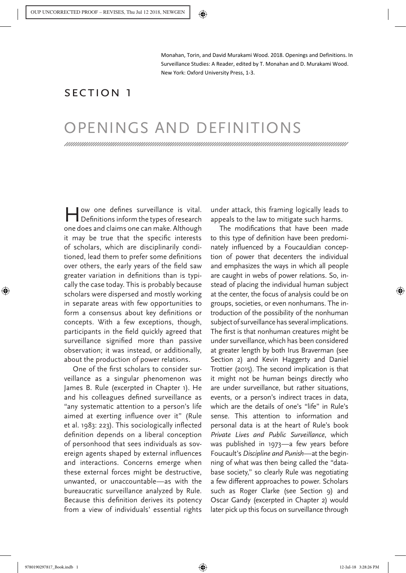Monahan, Torin, and David Murakami Wood. 2018. Openings and Definitions. In Surveillance Studies: A Reader, edited by T. Monahan and D. Murakami Wood. New York: Oxford University Press, 1-3.

## Section 1

## OPENINGS AND DEFINITIONS

How one defines surveillance is vital. Definitions inform the types of research one does and claims one can make. Although it may be true that the specific interests of scholars, which are disciplinarily conditioned, lead them to prefer some definitions over others, the early years of the field saw greater variation in definitions than is typically the case today. This is probably because scholars were dispersed and mostly working in separate areas with few opportunities to form a consensus about key definitions or concepts. With a few exceptions, though, participants in the field quickly agreed that surveillance signified more than passive observation; it was instead, or additionally, about the production of power relations.

One of the first scholars to consider surveillance as a singular phenomenon was James B. Rule (excerpted in Chapter 1). He and his colleagues defined surveillance as "any systematic attention to a person's life aimed at exerting influence over it" (Rule et al. 1983: 223). This sociologically inflected definition depends on a liberal conception of personhood that sees individuals as sovereign agents shaped by external influences and interactions. Concerns emerge when these external forces might be destructive, unwanted, or unaccountable—as with the bureaucratic surveillance analyzed by Rule. Because this definition derives its potency from a view of individuals' essential rights under attack, this framing logically leads to appeals to the law to mitigate such harms.

The modifications that have been made to this type of definition have been predominately influenced by a Foucauldian conception of power that decenters the individual and emphasizes the ways in which all people are caught in webs of power relations. So, instead of placing the individual human subject at the center, the focus of analysis could be on groups, societies, or even nonhumans. The introduction of the possibility of the nonhuman subject of surveillance has several implications. The first is that nonhuman creatures might be under surveillance, which has been considered at greater length by both Irus Braverman (see Section 2) and Kevin Haggerty and Daniel Trottier (2015). The second implication is that it might not be human beings directly who are under surveillance, but rather situations, events, or a person's indirect traces in data, which are the details of one's "life" in Rule's sense. This attention to information and personal data is at the heart of Rule's book *Private Lives and Public Surveillance*, which was published in 1973—a few years before Foucault's *Discipline and Punish*—at the beginning of what was then being called the "database society," so clearly Rule was negotiating a few different approaches to power. Scholars such as Roger Clarke (see Section 9) and Oscar Gandy (excerpted in Chapter 2) would later pick up this focus on surveillance through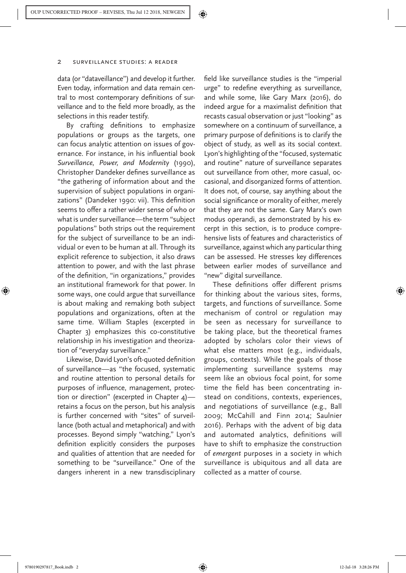data (or "dataveillance") and develop it further. Even today, information and data remain central to most contemporary definitions of surveillance and to the field more broadly, as the selections in this reader testify.

By crafting definitions to emphasize populations or groups as the targets, one can focus analytic attention on issues of governance. For instance, in his influential book *Surveillance, Power, and Modernity* (1990), Christopher Dandeker defines surveillance as "the gathering of information about and the supervision of subject populations in organizations" (Dandeker 1990: vii). This definition seems to offer a rather wider sense of who or what is under surveillance—the term "subject populations" both strips out the requirement for the subject of surveillance to be an individual or even to be human at all. Through its explicit reference to subjection, it also draws attention to power, and with the last phrase of the definition, "in organizations," provides an institutional framework for that power. In some ways, one could argue that surveillance is about making and remaking both subject populations and organizations, often at the same time. William Staples (excerpted in Chapter 3) emphasizes this co-constitutive relationship in his investigation and theorization of "everyday surveillance."

Likewise, David Lyon's oft-quoted definition of surveillance—as "the focused, systematic and routine attention to personal details for purposes of influence, management, protection or direction" (excerpted in Chapter 4) retains a focus on the person, but his analysis is further concerned with "sites" of surveillance (both actual and metaphorical) and with processes. Beyond simply "watching," Lyon's definition explicitly considers the purposes and qualities of attention that are needed for something to be "surveillance." One of the dangers inherent in a new transdisciplinary

field like surveillance studies is the "imperial urge" to redefine everything as surveillance, and while some, like Gary Marx (2016), do indeed argue for a maximalist definition that recasts casual observation or just "looking" as somewhere on a continuum of surveillance, a primary purpose of definitions is to clarify the object of study, as well as its social context. Lyon's highlighting of the "focused, systematic and routine" nature of surveillance separates out surveillance from other, more casual, occasional, and disorganized forms of attention. It does not, of course, say anything about the social significance or morality of either, merely that they are not the same. Gary Marx's own modus operandi, as demonstrated by his excerpt in this section, is to produce comprehensive lists of features and characteristics of surveillance, against which any particular thing can be assessed. He stresses key differences between earlier modes of surveillance and "new" digital surveillance.

These definitions offer different prisms for thinking about the various sites, forms, targets, and functions of surveillance. Some mechanism of control or regulation may be seen as necessary for surveillance to be taking place, but the theoretical frames adopted by scholars color their views of what else matters most (e.g., individuals, groups, contexts). While the goals of those implementing surveillance systems may seem like an obvious focal point, for some time the field has been concentrating instead on conditions, contexts, experiences, and negotiations of surveillance (e.g., Ball 2009; McCahill and Finn 2014; Saulnier 2016). Perhaps with the advent of big data and automated analytics, definitions will have to shift to emphasize the construction of *emergent* purposes in a society in which surveillance is ubiquitous and all data are collected as a matter of course.